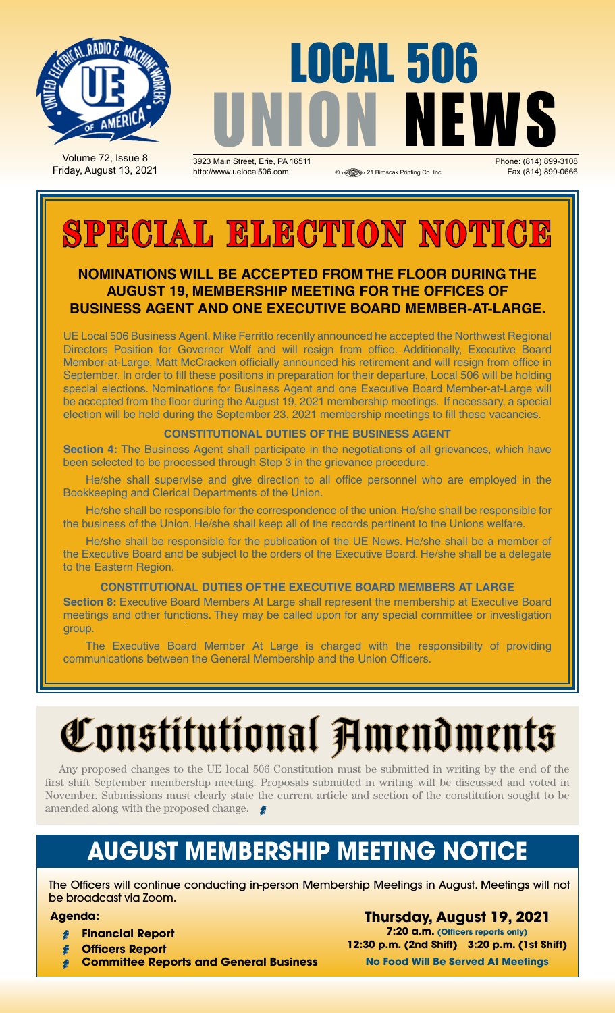

Volume 72, Issue 8 Friday, August 13, 2021

# **OCAL 506** UNION NEWS

1923 Main Street, Erie, PA 16511 **Channel Street, Erie, PA 16511 Phone: (814) 899-3108**<br>21 Biroscak Printing Co. Inc. **Phone: (814) 899-0666** Phone: Pax (814) 899-0666 http://www.uelocal506.com <br>
® <sup>®</sup> 21 Biroscak Printing Co. Inc

# **SPECIAL ELECTION NOTICI**

### **Nominations will be accepted from the floor during the august 19, membership meeting for the offices of business agent and one executive board member-at-large.**

UE Local 506 Business Agent, Mike Ferritto recently announced he accepted the Northwest Regional Directors Position for Governor Wolf and will resign from office. Additionally, Executive Board Member-at-Large, Matt McCracken officially announced his retirement and will resign from office in September. In order to fill these positions in preparation for their departure, Local 506 will be holding special elections. Nominations for Business Agent and one Executive Board Member-at-Large will be accepted from the floor during the August 19, 2021 membership meetings. If necessary, a special election will be held during the September 23, 2021 membership meetings to fill these vacancies.

### **CONSTITUTIONAL DUTIES OF THE BUSINESS AGENT**

**Section 4:** The Business Agent shall participate in the negotiations of all grievances, which have been selected to be processed through Step 3 in the grievance procedure.

He/she shall supervise and give direction to all office personnel who are employed in the Bookkeeping and Clerical Departments of the Union.

He/she shall be responsible for the correspondence of the union. He/she shall be responsible for the business of the Union. He/she shall keep all of the records pertinent to the Unions welfare.

He/she shall be responsible for the publication of the UE News. He/she shall be a member of the Executive Board and be subject to the orders of the Executive Board. He/she shall be a delegate to the Eastern Region.

#### **CONSTITUTIONAL DUTIES OF THE EXECUTIVE BOARD MEMBERS AT LARGE**

**Section 8:** Executive Board Members At Large shall represent the membership at Executive Board meetings and other functions. They may be called upon for any special committee or investigation group.

The Executive Board Member At Large is charged with the responsibility of providing communications between the General Membership and the Union Officers.

# Constitutional Amendments

Any proposed changes to the UE local 506 Constitution must be submitted in writing by the end of the first shift September membership meeting. Proposals submitted in writing will be discussed and voted in November. Submissions must clearly state the current article and section of the constitution sought to be amended along with the proposed change.

## **AUGUST Membership Meeting Notice**

The Officers will continue conducting in-person Membership Meetings in August. Meetings will not be broadcast via Zoom.

#### **Agenda:**

- **Financial Report**
- **Officers Report**
- **Committee Reports and General Business**

**Thursday, August 19, 2021 7:20 a.m. (Officers reports only) 12:30 p.m. (2nd Shift) 3:20 p.m. (1st Shift) No Food Will Be Served At Meetings**